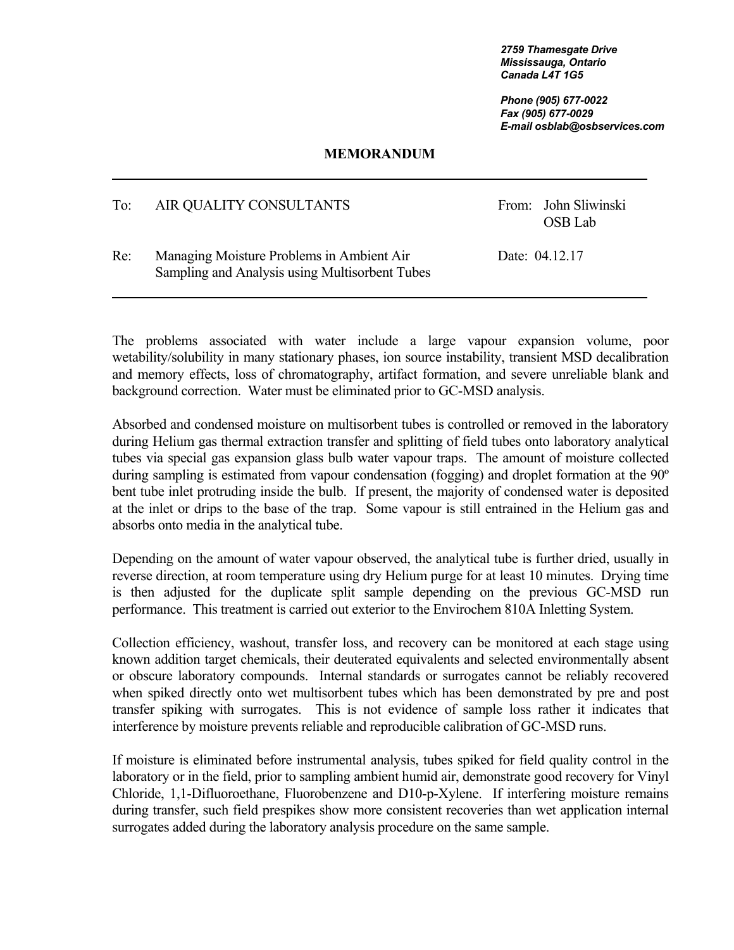*2759 Thamesgate Drive Mississauga, Ontario Canada L4T 1G5*

 *Phone (905) 677-0022 Fax (905) 677-0029 E-mail osblab@osbservices.com* 

## **MEMORANDUM**

## To: AIR QUALITY CONSULTANTS From: John Sliwinski

OSB Lab

Re: Managing Moisture Problems in Ambient Air Date: 04.12.17 Sampling and Analysis using Multisorbent Tubes

The problems associated with water include a large vapour expansion volume, poor wetability/solubility in many stationary phases, ion source instability, transient MSD decalibration and memory effects, loss of chromatography, artifact formation, and severe unreliable blank and background correction. Water must be eliminated prior to GC-MSD analysis.

Absorbed and condensed moisture on multisorbent tubes is controlled or removed in the laboratory during Helium gas thermal extraction transfer and splitting of field tubes onto laboratory analytical tubes via special gas expansion glass bulb water vapour traps. The amount of moisture collected during sampling is estimated from vapour condensation (fogging) and droplet formation at the 90º bent tube inlet protruding inside the bulb. If present, the majority of condensed water is deposited at the inlet or drips to the base of the trap. Some vapour is still entrained in the Helium gas and absorbs onto media in the analytical tube.

Depending on the amount of water vapour observed, the analytical tube is further dried, usually in reverse direction, at room temperature using dry Helium purge for at least 10 minutes. Drying time is then adjusted for the duplicate split sample depending on the previous GC-MSD run performance. This treatment is carried out exterior to the Envirochem 810A Inletting System.

Collection efficiency, washout, transfer loss, and recovery can be monitored at each stage using known addition target chemicals, their deuterated equivalents and selected environmentally absent or obscure laboratory compounds. Internal standards or surrogates cannot be reliably recovered when spiked directly onto wet multisorbent tubes which has been demonstrated by pre and post transfer spiking with surrogates. This is not evidence of sample loss rather it indicates that interference by moisture prevents reliable and reproducible calibration of GC-MSD runs.

If moisture is eliminated before instrumental analysis, tubes spiked for field quality control in the laboratory or in the field, prior to sampling ambient humid air, demonstrate good recovery for Vinyl Chloride, 1,1-Difluoroethane, Fluorobenzene and D10-p-Xylene. If interfering moisture remains during transfer, such field prespikes show more consistent recoveries than wet application internal surrogates added during the laboratory analysis procedure on the same sample.